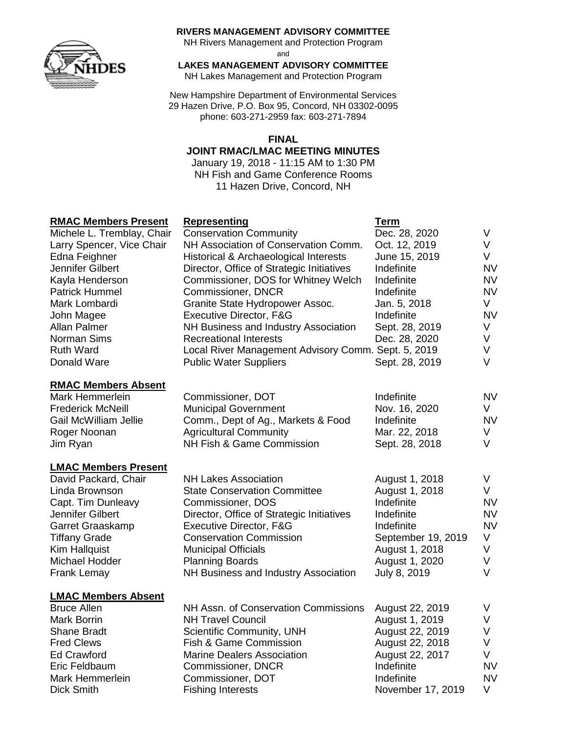

#### **RIVERS MANAGEMENT ADVISORY COMMITTEE**

NH Rivers Management and Protection Program

and

**LAKES MANAGEMENT ADVISORY COMMITTEE**

NH Lakes Management and Protection Program

New Hampshire Department of Environmental Services 29 Hazen Drive, P.O. Box 95, Concord, NH 03302-0095 phone: 603-271-2959 fax: 603-271-7894

### **FINAL**

#### **JOINT RMAC/LMAC MEETING MINUTES**

January 19, 2018 - 11:15 AM to 1:30 PM NH Fish and Game Conference Rooms 11 Hazen Drive, Concord, NH

### **RMAC Members Present Representing Term**

| <u>NINA MEINER FIESEIN</u>   | <u>REPLESEIRING</u>                                 | 1 GHT              |           |
|------------------------------|-----------------------------------------------------|--------------------|-----------|
| Michele L. Tremblay, Chair   | <b>Conservation Community</b>                       | Dec. 28, 2020      | V         |
| Larry Spencer, Vice Chair    | NH Association of Conservation Comm.                | Oct. 12, 2019      | V         |
| Edna Feighner                | Historical & Archaeological Interests               | June 15, 2019      | V         |
| Jennifer Gilbert             | Director, Office of Strategic Initiatives           | Indefinite         | <b>NV</b> |
| Kayla Henderson              | Commissioner, DOS for Whitney Welch                 | Indefinite         | <b>NV</b> |
| <b>Patrick Hummel</b>        | Commissioner, DNCR                                  | Indefinite         | <b>NV</b> |
| Mark Lombardi                | Granite State Hydropower Assoc.                     | Jan. 5, 2018       | V         |
| John Magee                   | Executive Director, F&G                             | Indefinite         | <b>NV</b> |
| Allan Palmer                 | NH Business and Industry Association                | Sept. 28, 2019     | V         |
| Norman Sims                  | <b>Recreational Interests</b>                       | Dec. 28, 2020      | V         |
| <b>Ruth Ward</b>             | Local River Management Advisory Comm. Sept. 5, 2019 |                    | V         |
| Donald Ware                  | <b>Public Water Suppliers</b>                       | Sept. 28, 2019     | $\vee$    |
| <b>RMAC Members Absent</b>   |                                                     |                    |           |
| <b>Mark Hemmerlein</b>       | Commissioner, DOT                                   | Indefinite         | <b>NV</b> |
| <b>Frederick McNeill</b>     | <b>Municipal Government</b>                         | Nov. 16, 2020      | V         |
| <b>Gail McWilliam Jellie</b> | Comm., Dept of Ag., Markets & Food                  | Indefinite         | <b>NV</b> |
| Roger Noonan                 | <b>Agricultural Community</b>                       | Mar. 22, 2018      | V         |
| Jim Ryan                     | NH Fish & Game Commission                           | Sept. 28, 2018     | V         |
| <b>LMAC Members Present</b>  |                                                     |                    |           |
| David Packard, Chair         | <b>NH Lakes Association</b>                         | August 1, 2018     | V         |
| Linda Brownson               | <b>State Conservation Committee</b>                 | August 1, 2018     | V         |
| Capt. Tim Dunleavy           | Commissioner, DOS                                   | Indefinite         | <b>NV</b> |
| Jennifer Gilbert             | Director, Office of Strategic Initiatives           | Indefinite         | <b>NV</b> |
| Garret Graaskamp             | Executive Director, F&G                             | Indefinite         | <b>NV</b> |
| <b>Tiffany Grade</b>         | <b>Conservation Commission</b>                      | September 19, 2019 | V         |
| <b>Kim Hallquist</b>         | <b>Municipal Officials</b>                          | August 1, 2018     | V         |
| Michael Hodder               | <b>Planning Boards</b>                              | August 1, 2020     | V         |
| <b>Frank Lemay</b>           | NH Business and Industry Association                | July 8, 2019       | $\vee$    |
| <b>LMAC Members Absent</b>   |                                                     |                    |           |
| <b>Bruce Allen</b>           | NH Assn. of Conservation Commissions                | August 22, 2019    | V         |
| Mark Borrin                  | <b>NH Travel Council</b>                            | August 1, 2019     | V         |
| <b>Shane Bradt</b>           | Scientific Community, UNH                           | August 22, 2019    | V         |
| <b>Fred Clews</b>            | Fish & Game Commission                              | August 22, 2018    | V         |
| <b>Ed Crawford</b>           | <b>Marine Dealers Association</b>                   | August 22, 2017    | V         |
| Eric Feldbaum                | Commissioner, DNCR                                  | Indefinite         | <b>NV</b> |
| Mark Hemmerlein              | Commissioner, DOT                                   | Indefinite         | <b>NV</b> |

Dick Smith Fishing Interests November 17, 2019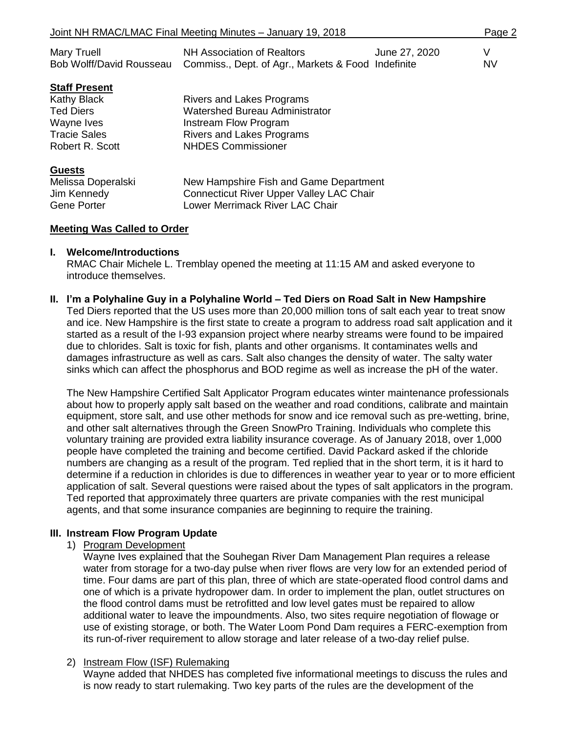| Joint NH RMAC/LMAC Final Meeting Minutes - January 19, 2018 |                                                                                                                       |               |                |
|-------------------------------------------------------------|-----------------------------------------------------------------------------------------------------------------------|---------------|----------------|
| Mary Truell<br>Bob Wolff/David Rousseau                     | <b>NH Association of Realtors</b><br>Commiss., Dept. of Agr., Markets & Food Indefinite                               | June 27, 2020 | V<br><b>NV</b> |
| <b>Staff Present</b>                                        |                                                                                                                       |               |                |
| Kathy Black                                                 | <b>Rivers and Lakes Programs</b>                                                                                      |               |                |
| Ted Diers                                                   | <b>Watershed Bureau Administrator</b>                                                                                 |               |                |
| Wayne Ives                                                  | Instream Flow Program                                                                                                 |               |                |
| Tracie Sales                                                | <b>Rivers and Lakes Programs</b>                                                                                      |               |                |
| Robert R. Scott                                             | <b>NHDES Commissioner</b>                                                                                             |               |                |
| <b>Guests</b>                                               |                                                                                                                       |               |                |
| Melissa Doperalski<br>Jim Kennedy<br>Gene Porter            | New Hampshire Fish and Game Department<br>Connecticut River Upper Valley LAC Chair<br>Lower Merrimack River LAC Chair |               |                |
|                                                             |                                                                                                                       |               |                |

#### **Meeting Was Called to Order**

#### **I. Welcome/Introductions**

RMAC Chair Michele L. Tremblay opened the meeting at 11:15 AM and asked everyone to introduce themselves.

#### **II. I'm a Polyhaline Guy in a Polyhaline World – Ted Diers on Road Salt in New Hampshire**

Ted Diers reported that the US uses more than 20,000 million tons of salt each year to treat snow and ice. New Hampshire is the first state to create a program to address road salt application and it started as a result of the I-93 expansion project where nearby streams were found to be impaired due to chlorides. Salt is toxic for fish, plants and other organisms. It contaminates wells and damages infrastructure as well as cars. Salt also changes the density of water. The salty water sinks which can affect the phosphorus and BOD regime as well as increase the pH of the water.

The New Hampshire Certified Salt Applicator Program educates winter maintenance professionals about how to properly apply salt based on the weather and road conditions, calibrate and maintain equipment, store salt, and use other methods for snow and ice removal such as pre-wetting, brine, and other salt alternatives through the Green SnowPro Training. Individuals who complete this voluntary training are provided extra liability insurance coverage. As of January 2018, over 1,000 people have completed the training and become certified. David Packard asked if the chloride numbers are changing as a result of the program. Ted replied that in the short term, it is it hard to determine if a reduction in chlorides is due to differences in weather year to year or to more efficient application of salt. Several questions were raised about the types of salt applicators in the program. Ted reported that approximately three quarters are private companies with the rest municipal agents, and that some insurance companies are beginning to require the training.

#### **III. Instream Flow Program Update**

1) Program Development

Wayne Ives explained that the Souhegan River Dam Management Plan requires a release water from storage for a two-day pulse when river flows are very low for an extended period of time. Four dams are part of this plan, three of which are state-operated flood control dams and one of which is a private hydropower dam. In order to implement the plan, outlet structures on the flood control dams must be retrofitted and low level gates must be repaired to allow additional water to leave the impoundments. Also, two sites require negotiation of flowage or use of existing storage, or both. The Water Loom Pond Dam requires a FERC-exemption from its run-of-river requirement to allow storage and later release of a two-day relief pulse.

#### 2) Instream Flow (ISF) Rulemaking

Wayne added that NHDES has completed five informational meetings to discuss the rules and is now ready to start rulemaking. Two key parts of the rules are the development of the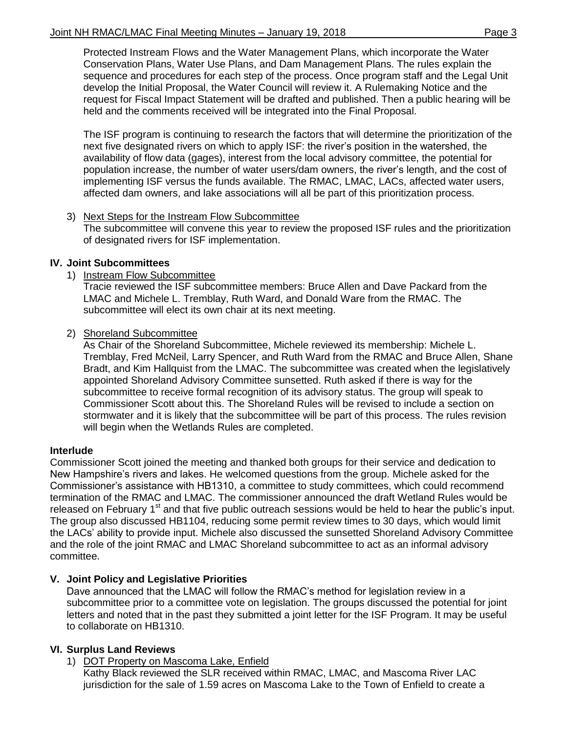Protected Instream Flows and the Water Management Plans, which incorporate the Water Conservation Plans, Water Use Plans, and Dam Management Plans. The rules explain the sequence and procedures for each step of the process. Once program staff and the Legal Unit develop the Initial Proposal, the Water Council will review it. A Rulemaking Notice and the request for Fiscal Impact Statement will be drafted and published. Then a public hearing will be held and the comments received will be integrated into the Final Proposal.

The ISF program is continuing to research the factors that will determine the prioritization of the next five designated rivers on which to apply ISF: the river's position in the watershed, the availability of flow data (gages), interest from the local advisory committee, the potential for population increase, the number of water users/dam owners, the river's length, and the cost of implementing ISF versus the funds available. The RMAC, LMAC, LACs, affected water users, affected dam owners, and lake associations will all be part of this prioritization process.

### 3) Next Steps for the Instream Flow Subcommittee

The subcommittee will convene this year to review the proposed ISF rules and the prioritization of designated rivers for ISF implementation.

### **IV. Joint Subcommittees**

1) Instream Flow Subcommittee

Tracie reviewed the ISF subcommittee members: Bruce Allen and Dave Packard from the LMAC and Michele L. Tremblay, Ruth Ward, and Donald Ware from the RMAC. The subcommittee will elect its own chair at its next meeting.

2) Shoreland Subcommittee

As Chair of the Shoreland Subcommittee, Michele reviewed its membership: Michele L. Tremblay, Fred McNeil, Larry Spencer, and Ruth Ward from the RMAC and Bruce Allen, Shane Bradt, and Kim Hallquist from the LMAC. The subcommittee was created when the legislatively appointed Shoreland Advisory Committee sunsetted. Ruth asked if there is way for the subcommittee to receive formal recognition of its advisory status. The group will speak to Commissioner Scott about this. The Shoreland Rules will be revised to include a section on stormwater and it is likely that the subcommittee will be part of this process. The rules revision will begin when the Wetlands Rules are completed.

## **Interlude**

Commissioner Scott joined the meeting and thanked both groups for their service and dedication to New Hampshire's rivers and lakes. He welcomed questions from the group. Michele asked for the Commissioner's assistance with HB1310, a committee to study committees, which could recommend termination of the RMAC and LMAC. The commissioner announced the draft Wetland Rules would be released on February 1<sup>st</sup> and that five public outreach sessions would be held to hear the public's input. The group also discussed HB1104, reducing some permit review times to 30 days, which would limit the LACs' ability to provide input. Michele also discussed the sunsetted Shoreland Advisory Committee and the role of the joint RMAC and LMAC Shoreland subcommittee to act as an informal advisory committee.

## **V. Joint Policy and Legislative Priorities**

Dave announced that the LMAC will follow the RMAC's method for legislation review in a subcommittee prior to a committee vote on legislation. The groups discussed the potential for joint letters and noted that in the past they submitted a joint letter for the ISF Program. It may be useful to collaborate on HB1310.

## **VI. Surplus Land Reviews**

1) DOT Property on Mascoma Lake, Enfield

Kathy Black reviewed the SLR received within RMAC, LMAC, and Mascoma River LAC jurisdiction for the sale of 1.59 acres on Mascoma Lake to the Town of Enfield to create a